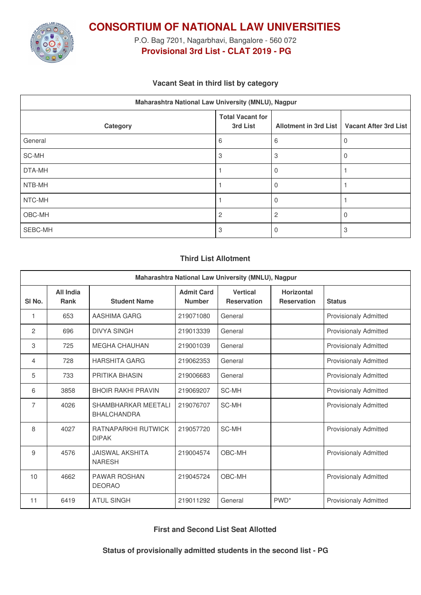

**CONSORTIUM OF NATIONAL LAW UNIVERSITIES**

P.O. Bag 7201, Nagarbhavi, Bangalore - 560 072 **Provisional 3rd List - CLAT 2019 - PG**

## **Vacant Seat in third list by category**

| Maharashtra National Law University (MNLU), Nagpur |                                     |                       |                              |  |  |  |
|----------------------------------------------------|-------------------------------------|-----------------------|------------------------------|--|--|--|
| Category                                           | <b>Total Vacant for</b><br>3rd List | Allotment in 3rd List | <b>Vacant After 3rd List</b> |  |  |  |
| General                                            | 6                                   | 6                     | 0                            |  |  |  |
| SC-MH                                              | 3                                   | 3                     | 0                            |  |  |  |
| DTA-MH                                             |                                     |                       |                              |  |  |  |
| NTB-MH                                             |                                     |                       |                              |  |  |  |
| NTC-MH                                             |                                     |                       |                              |  |  |  |
| OBC-MH                                             | $\overline{2}$                      | 2                     | $\Omega$                     |  |  |  |
| SEBC-MH                                            | 3                                   |                       | 3                            |  |  |  |

## **Third List Allotment**

| Maharashtra National Law University (MNLU), Nagpur |                          |                                            |                                    |                                       |                                         |                              |  |
|----------------------------------------------------|--------------------------|--------------------------------------------|------------------------------------|---------------------------------------|-----------------------------------------|------------------------------|--|
| SI <sub>No.</sub>                                  | All India<br><b>Rank</b> | <b>Student Name</b>                        | <b>Admit Card</b><br><b>Number</b> | <b>Vertical</b><br><b>Reservation</b> | <b>Horizontal</b><br><b>Reservation</b> | <b>Status</b>                |  |
| 1                                                  | 653                      | AASHIMA GARG                               | 219071080                          | General                               |                                         | Provisionaly Admitted        |  |
| 2                                                  | 696                      | <b>DIVYA SINGH</b>                         | 219013339                          | General                               |                                         | <b>Provisionaly Admitted</b> |  |
| 3                                                  | 725                      | <b>MEGHA CHAUHAN</b>                       | 219001039                          | General                               |                                         | <b>Provisionaly Admitted</b> |  |
| 4                                                  | 728                      | <b>HARSHITA GARG</b>                       | 219062353                          | General                               |                                         | <b>Provisionaly Admitted</b> |  |
| 5                                                  | 733                      | <b>PRITIKA BHASIN</b>                      | 219006683                          | General                               |                                         | <b>Provisionaly Admitted</b> |  |
| 6                                                  | 3858                     | <b>BHOIR RAKHI PRAVIN</b>                  | 219069207                          | SC-MH                                 |                                         | Provisionaly Admitted        |  |
| 7                                                  | 4026                     | SHAMBHARKAR MEETALI<br><b>BHALCHANDRA</b>  | 219076707                          | <b>SC-MH</b>                          |                                         | <b>Provisionaly Admitted</b> |  |
| 8                                                  | 4027                     | <b>RATNAPARKHI RUTWICK</b><br><b>DIPAK</b> | 219057720                          | SC-MH                                 |                                         | <b>Provisionaly Admitted</b> |  |
| 9                                                  | 4576                     | <b>JAISWAL AKSHITA</b><br><b>NARESH</b>    | 219004574                          | OBC-MH                                |                                         | <b>Provisionaly Admitted</b> |  |
| 10                                                 | 4662                     | <b>PAWAR ROSHAN</b><br><b>DEORAO</b>       | 219045724                          | OBC-MH                                |                                         | <b>Provisionaly Admitted</b> |  |
| 11                                                 | 6419                     | <b>ATUL SINGH</b>                          | 219011292                          | General                               | PWD <sup>*</sup>                        | <b>Provisionaly Admitted</b> |  |

**First and Second List Seat Allotted**

**Status of provisionally admitted students in the second list - PG**